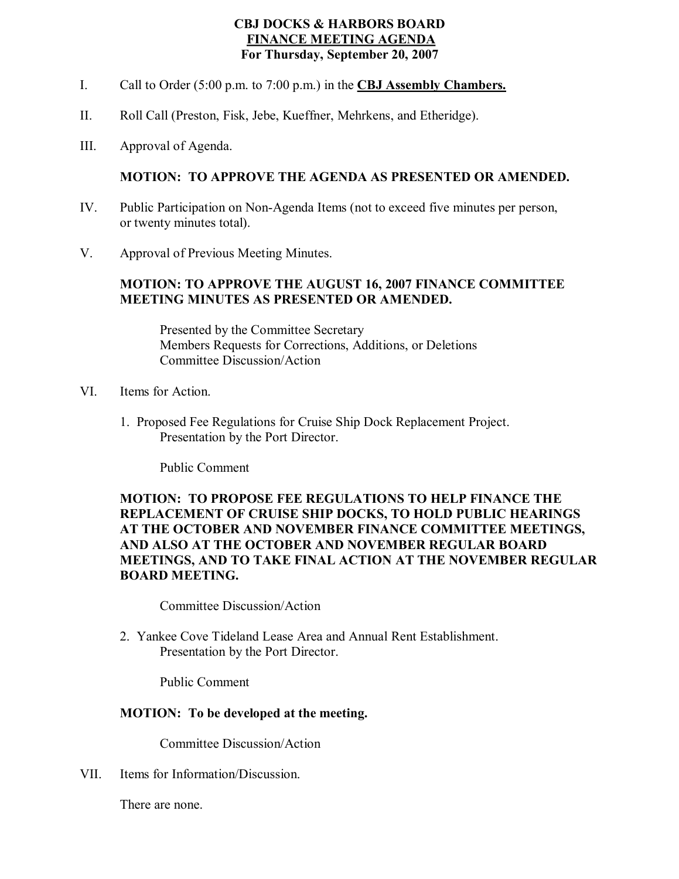## **CBJ DOCKS & HARBORS BOARD FINANCE MEETING AGENDA For Thursday, September 20, 2007**

- I. Call to Order (5:00 p.m. to 7:00 p.m.) in the **CBJ Assembly Chambers.**
- II. Roll Call (Preston, Fisk, Jebe, Kueffner, Mehrkens, and Etheridge).
- III. Approval of Agenda.

## **MOTION: TO APPROVE THE AGENDA AS PRESENTED OR AMENDED.**

- IV. Public Participation on Non-Agenda Items (not to exceed five minutes per person, or twenty minutes total).
- V. Approval of Previous Meeting Minutes.

#### **MOTION: TO APPROVE THE AUGUST 16, 2007 FINANCE COMMITTEE MEETING MINUTES AS PRESENTED OR AMENDED.**

Presented by the Committee Secretary Members Requests for Corrections, Additions, or Deletions Committee Discussion/Action

- VI. Items for Action.
	- 1. Proposed Fee Regulations for Cruise Ship Dock Replacement Project. Presentation by the Port Director.

Public Comment

# **MOTION: TO PROPOSE FEE REGULATIONS TO HELP FINANCE THE REPLACEMENT OF CRUISE SHIP DOCKS, TO HOLD PUBLIC HEARINGS AT THE OCTOBER AND NOVEMBER FINANCE COMMITTEE MEETINGS, AND ALSO AT THE OCTOBER AND NOVEMBER REGULAR BOARD MEETINGS, AND TO TAKE FINAL ACTION AT THE NOVEMBER REGULAR BOARD MEETING.**

Committee Discussion/Action

2. Yankee Cove Tideland Lease Area and Annual Rent Establishment. Presentation by the Port Director.

Public Comment

#### **MOTION: To be developed at the meeting.**

Committee Discussion/Action

VII. Items for Information/Discussion.

There are none.